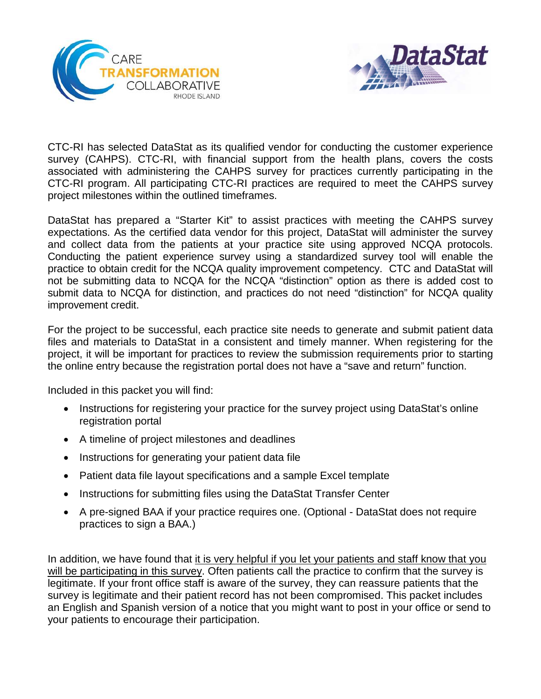



CTC-RI has selected DataStat as its qualified vendor for conducting the customer experience survey (CAHPS). CTC-RI, with financial support from the health plans, covers the costs associated with administering the CAHPS survey for practices currently participating in the CTC-RI program. All participating CTC-RI practices are required to meet the CAHPS survey project milestones within the outlined timeframes.

DataStat has prepared a "Starter Kit" to assist practices with meeting the CAHPS survey expectations. As the certified data vendor for this project, DataStat will administer the survey and collect data from the patients at your practice site using approved NCQA protocols. Conducting the patient experience survey using a standardized survey tool will enable the practice to obtain credit for the NCQA quality improvement competency. CTC and DataStat will not be submitting data to NCQA for the NCQA "distinction" option as there is added cost to submit data to NCQA for distinction, and practices do not need "distinction" for NCQA quality improvement credit.

For the project to be successful, each practice site needs to generate and submit patient data files and materials to DataStat in a consistent and timely manner. When registering for the project, it will be important for practices to review the submission requirements prior to starting the online entry because the registration portal does not have a "save and return" function.

Included in this packet you will find:

- Instructions for registering your practice for the survey project using DataStat's online registration portal
- A timeline of project milestones and deadlines
- Instructions for generating your patient data file
- Patient data file layout specifications and a sample Excel template
- Instructions for submitting files using the DataStat Transfer Center
- A pre-signed BAA if your practice requires one. (Optional DataStat does not require practices to sign a BAA.)

In addition, we have found that it is very helpful if you let your patients and staff know that you will be participating in this survey. Often patients call the practice to confirm that the survey is legitimate. If your front office staff is aware of the survey, they can reassure patients that the survey is legitimate and their patient record has not been compromised. This packet includes an English and Spanish version of a notice that you might want to post in your office or send to your patients to encourage their participation.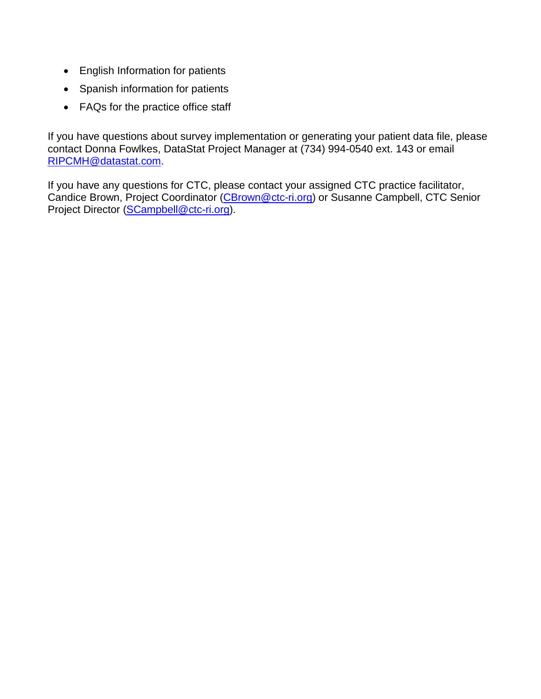- English Information for patients
- Spanish information for patients
- FAQs for the practice office staff

If you have questions about survey implementation or generating your patient data file, please contact Donna Fowlkes, DataStat Project Manager at (734) 994-0540 ext. 143 or email [RIPCMH@datastat.com.](mailto:RIPCMH@datastat.com)

If you have any questions for CTC, please contact your assigned CTC practice facilitator, Candice Brown, Project Coordinator [\(CBrown@ctc-ri.org\)](mailto:CBrown@ctc-ri.org) or Susanne Campbell, CTC Senior Project Director [\(SCampbell@ctc-ri.org\)](mailto:SCampbell@ctc-ri.org).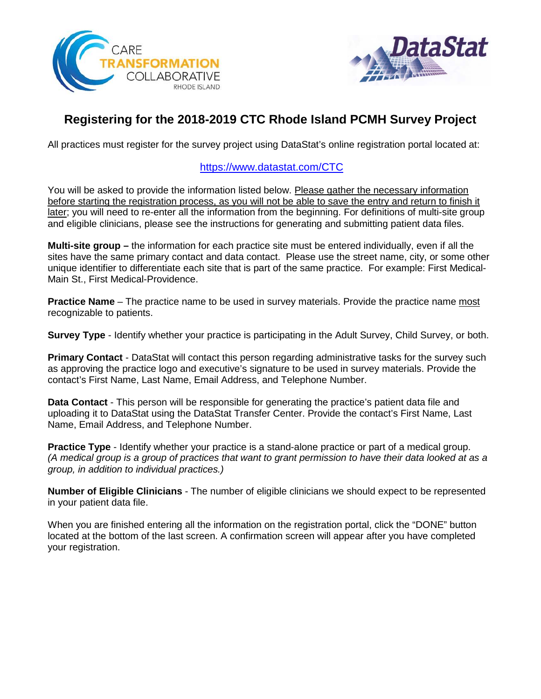



## **Registering for the 2018-2019 CTC Rhode Island PCMH Survey Project**

All practices must register for the survey project using DataStat's online registration portal located at:

#### <https://www.datastat.com/CTC>

You will be asked to provide the information listed below. Please gather the necessary information before starting the registration process, as you will not be able to save the entry and return to finish it later; you will need to re-enter all the information from the beginning. For definitions of multi-site group and eligible clinicians, please see the instructions for generating and submitting patient data files.

**Multi-site group –** the information for each practice site must be entered individually, even if all the sites have the same primary contact and data contact. Please use the street name, city, or some other unique identifier to differentiate each site that is part of the same practice. For example: First Medical-Main St., First Medical-Providence.

**Practice Name** – The practice name to be used in survey materials. Provide the practice name most recognizable to patients.

**Survey Type** - Identify whether your practice is participating in the Adult Survey, Child Survey, or both.

**Primary Contact** - DataStat will contact this person regarding administrative tasks for the survey such as approving the practice logo and executive's signature to be used in survey materials. Provide the contact's First Name, Last Name, Email Address, and Telephone Number.

**Data Contact** - This person will be responsible for generating the practice's patient data file and uploading it to DataStat using the DataStat Transfer Center. Provide the contact's First Name, Last Name, Email Address, and Telephone Number.

**Practice Type** - Identify whether your practice is a stand-alone practice or part of a medical group. *(A medical group is a group of practices that want to grant permission to have their data looked at as a group, in addition to individual practices.)*

**Number of Eligible Clinicians** - The number of eligible clinicians we should expect to be represented in your patient data file.

When you are finished entering all the information on the registration portal, click the "DONE" button located at the bottom of the last screen. A confirmation screen will appear after you have completed your registration.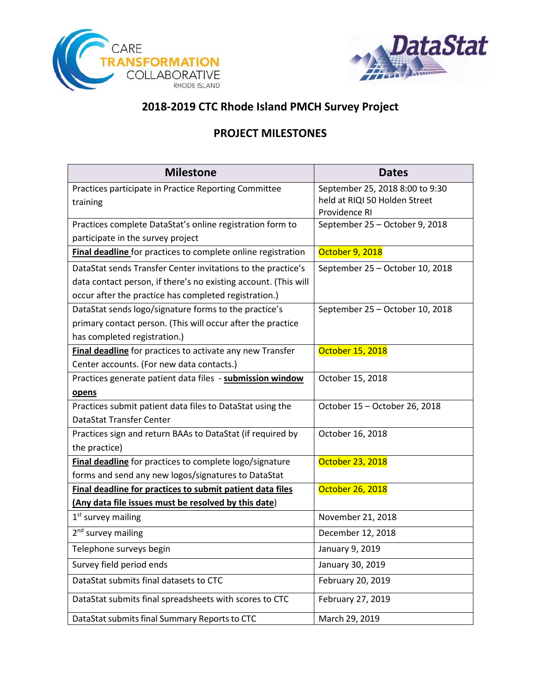



## **2018-2019 CTC Rhode Island PMCH Survey Project**

## **PROJECT MILESTONES**

| <b>Milestone</b>                                                | <b>Dates</b>                    |
|-----------------------------------------------------------------|---------------------------------|
| Practices participate in Practice Reporting Committee           | September 25, 2018 8:00 to 9:30 |
| training                                                        | held at RIQI 50 Holden Street   |
|                                                                 | Providence RI                   |
| Practices complete DataStat's online registration form to       | September 25 - October 9, 2018  |
| participate in the survey project                               |                                 |
| Final deadline for practices to complete online registration    | October 9, 2018                 |
| DataStat sends Transfer Center invitations to the practice's    | September 25 - October 10, 2018 |
| data contact person, if there's no existing account. (This will |                                 |
| occur after the practice has completed registration.)           |                                 |
| DataStat sends logo/signature forms to the practice's           | September 25 - October 10, 2018 |
| primary contact person. (This will occur after the practice     |                                 |
| has completed registration.)                                    |                                 |
| Final deadline for practices to activate any new Transfer       | October 15, 2018                |
| Center accounts. (For new data contacts.)                       |                                 |
| Practices generate patient data files - submission window       | October 15, 2018                |
| <u>opens</u>                                                    |                                 |
| Practices submit patient data files to DataStat using the       | October 15 - October 26, 2018   |
| DataStat Transfer Center                                        |                                 |
| Practices sign and return BAAs to DataStat (if required by      | October 16, 2018                |
| the practice)                                                   |                                 |
| Final deadline for practices to complete logo/signature         | October 23, 2018                |
| forms and send any new logos/signatures to DataStat             |                                 |
| Final deadline for practices to submit patient data files       | October 26, 2018                |
| (Any data file issues must be resolved by this date)            |                                 |
| $1st$ survey mailing                                            | November 21, 2018               |
| 2 <sup>nd</sup> survey mailing                                  | December 12, 2018               |
| Telephone surveys begin                                         | January 9, 2019                 |
| Survey field period ends                                        | January 30, 2019                |
| DataStat submits final datasets to CTC                          | February 20, 2019               |
| DataStat submits final spreadsheets with scores to CTC          | February 27, 2019               |
| DataStat submits final Summary Reports to CTC                   | March 29, 2019                  |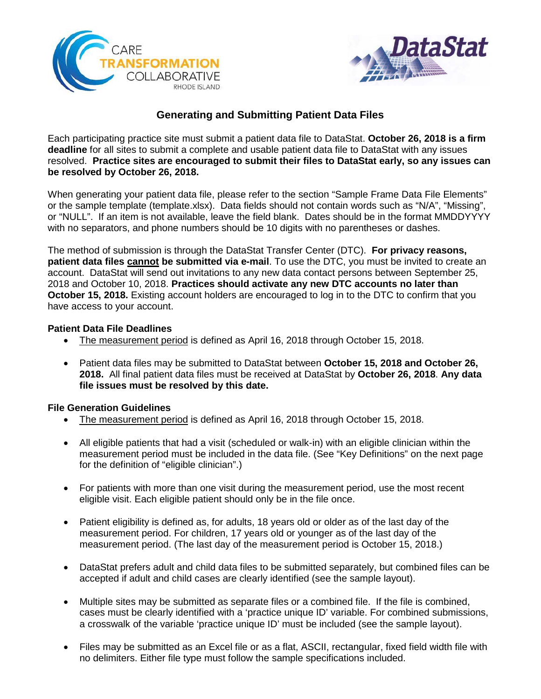



### **Generating and Submitting Patient Data Files**

Each participating practice site must submit a patient data file to DataStat. **October 26, 2018 is a firm deadline** for all sites to submit a complete and usable patient data file to DataStat with any issues resolved. **Practice sites are encouraged to submit their files to DataStat early, so any issues can be resolved by October 26, 2018.**

When generating your patient data file, please refer to the section "Sample Frame Data File Elements" or the sample template (template.xlsx). Data fields should not contain words such as "N/A", "Missing", or "NULL". If an item is not available, leave the field blank. Dates should be in the format MMDDYYYY with no separators, and phone numbers should be 10 digits with no parentheses or dashes.

The method of submission is through the DataStat Transfer Center (DTC). **For privacy reasons, patient data files cannot be submitted via e-mail**. To use the DTC, you must be invited to create an account. DataStat will send out invitations to any new data contact persons between September 25, 2018 and October 10, 2018. **Practices should activate any new DTC accounts no later than October 15, 2018.** Existing account holders are encouraged to log in to the DTC to confirm that you have access to your account.

#### **Patient Data File Deadlines**

- The measurement period is defined as April 16, 2018 through October 15, 2018.
- Patient data files may be submitted to DataStat between **October 15, 2018 and October 26, 2018.** All final patient data files must be received at DataStat by **October 26, 2018**. **Any data file issues must be resolved by this date.**

#### **File Generation Guidelines**

- The measurement period is defined as April 16, 2018 through October 15, 2018.
- All eligible patients that had a visit (scheduled or walk-in) with an eligible clinician within the measurement period must be included in the data file. (See "Key Definitions" on the next page for the definition of "eligible clinician".)
- For patients with more than one visit during the measurement period, use the most recent eligible visit. Each eligible patient should only be in the file once.
- Patient eligibility is defined as, for adults, 18 years old or older as of the last day of the measurement period. For children, 17 years old or younger as of the last day of the measurement period. (The last day of the measurement period is October 15, 2018.)
- DataStat prefers adult and child data files to be submitted separately, but combined files can be accepted if adult and child cases are clearly identified (see the sample layout).
- Multiple sites may be submitted as separate files or a combined file. If the file is combined, cases must be clearly identified with a 'practice unique ID' variable. For combined submissions, a crosswalk of the variable 'practice unique ID' must be included (see the sample layout).
- Files may be submitted as an Excel file or as a flat, ASCII, rectangular, fixed field width file with no delimiters. Either file type must follow the sample specifications included.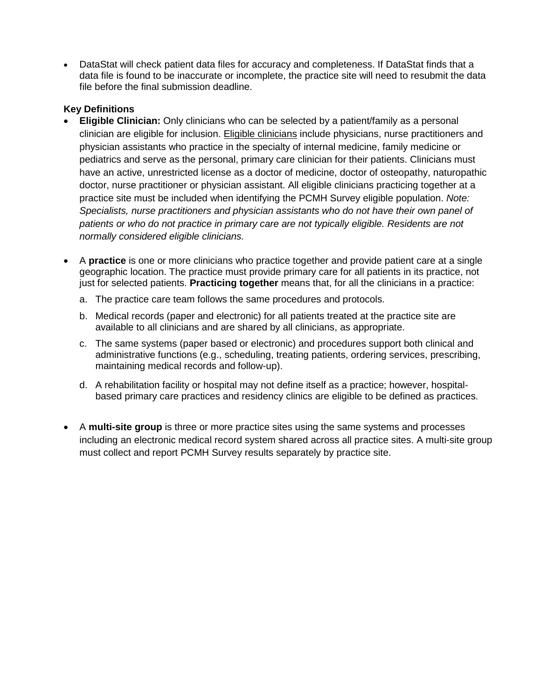• DataStat will check patient data files for accuracy and completeness. If DataStat finds that a data file is found to be inaccurate or incomplete, the practice site will need to resubmit the data file before the final submission deadline.

#### **Key Definitions**

- **Eligible Clinician:** Only clinicians who can be selected by a patient/family as a personal clinician are eligible for inclusion. Eligible clinicians include physicians, nurse practitioners and physician assistants who practice in the specialty of internal medicine, family medicine or pediatrics and serve as the personal, primary care clinician for their patients. Clinicians must have an active, unrestricted license as a doctor of medicine, doctor of osteopathy, naturopathic doctor, nurse practitioner or physician assistant. All eligible clinicians practicing together at a practice site must be included when identifying the PCMH Survey eligible population. *Note: Specialists, nurse practitioners and physician assistants who do not have their own panel of patients or who do not practice in primary care are not typically eligible. Residents are not normally considered eligible clinicians.*
- A **practice** is one or more clinicians who practice together and provide patient care at a single geographic location. The practice must provide primary care for all patients in its practice, not just for selected patients. **Practicing together** means that, for all the clinicians in a practice:
	- a. The practice care team follows the same procedures and protocols.
	- b. Medical records (paper and electronic) for all patients treated at the practice site are available to all clinicians and are shared by all clinicians, as appropriate.
	- c. The same systems (paper based or electronic) and procedures support both clinical and administrative functions (e.g., scheduling, treating patients, ordering services, prescribing, maintaining medical records and follow-up).
	- d. A rehabilitation facility or hospital may not define itself as a practice; however, hospitalbased primary care practices and residency clinics are eligible to be defined as practices.
- A **multi-site group** is three or more practice sites using the same systems and processes including an electronic medical record system shared across all practice sites. A multi-site group must collect and report PCMH Survey results separately by practice site.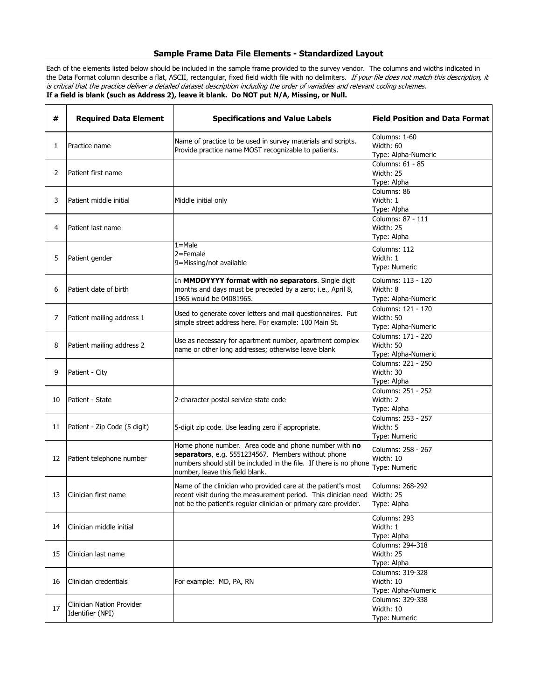#### **Sample Frame Data File Elements - Standardized Layout**

Each of the elements listed below should be included in the sample frame provided to the survey vendor. The columns and widths indicated in the Data Format column describe a flat, ASCII, rectangular, fixed field width file with no delimiters. If your file does not match this description, it is critical that the practice deliver a detailed dataset description including the order of variables and relevant coding schemes. **If a field is blank (such as Address 2), leave it blank. Do NOT put N/A, Missing, or Null.**

| #  | <b>Required Data Element</b>                  | <b>Specifications and Value Labels</b>                                                                                                                                                                               |                                                        |
|----|-----------------------------------------------|----------------------------------------------------------------------------------------------------------------------------------------------------------------------------------------------------------------------|--------------------------------------------------------|
| 1  | Practice name                                 | Name of practice to be used in survey materials and scripts.<br>Provide practice name MOST recognizable to patients.                                                                                                 | Columns: 1-60<br>Width: 60<br>Type: Alpha-Numeric      |
| 2  | Patient first name                            |                                                                                                                                                                                                                      | Columns: 61 - 85<br>Width: 25<br>Type: Alpha           |
| 3  | Patient middle initial                        | Middle initial only                                                                                                                                                                                                  | Columns: 86<br>Width: 1<br>Type: Alpha                 |
| 4  | Patient last name                             |                                                                                                                                                                                                                      | Columns: 87 - 111<br>Width: 25<br>Type: Alpha          |
| 5  | Patient gender                                | $1 =$ Male<br>2=Female<br>9=Missing/not available                                                                                                                                                                    | Columns: 112<br>Width: 1<br>Type: Numeric              |
| 6  | Patient date of birth                         | In MMDDYYYY format with no separators. Single digit<br>months and days must be preceded by a zero; i.e., April 8,<br>1965 would be 04081965.                                                                         | Columns: 113 - 120<br>Width: 8<br>Type: Alpha-Numeric  |
| 7  | Patient mailing address 1                     | Used to generate cover letters and mail questionnaires. Put<br>simple street address here. For example: 100 Main St.                                                                                                 | Columns: 121 - 170<br>Width: 50<br>Type: Alpha-Numeric |
| 8  | Patient mailing address 2                     | Use as necessary for apartment number, apartment complex<br>name or other long addresses; otherwise leave blank                                                                                                      | Columns: 171 - 220<br>Width: 50<br>Type: Alpha-Numeric |
| 9  | Patient - City                                |                                                                                                                                                                                                                      | Columns: 221 - 250<br>Width: 30<br>Type: Alpha         |
| 10 | Patient - State                               | 2-character postal service state code                                                                                                                                                                                | Columns: 251 - 252<br>Width: 2<br>Type: Alpha          |
| 11 | Patient - Zip Code (5 digit)                  | 5-digit zip code. Use leading zero if appropriate.                                                                                                                                                                   | Columns: 253 - 257<br>Width: 5<br>Type: Numeric        |
| 12 | Patient telephone number                      | Home phone number. Area code and phone number with no<br>separators, e.g. 5551234567. Members without phone<br>numbers should still be included in the file. If there is no phone<br>number, leave this field blank. | Columns: 258 - 267<br>Width: 10<br>Type: Numeric       |
| 13 | Clinician first name                          | Name of the clinician who provided care at the patient's most<br>recent visit during the measurement period. This clinician need<br>not be the patient's regular clinician or primary care provider.                 | Columns: 268-292<br>Width: 25<br>Type: Alpha           |
| 14 | Clinician middle initial                      |                                                                                                                                                                                                                      | Columns: 293<br>Width: 1<br>Type: Alpha                |
| 15 | Clinician last name                           |                                                                                                                                                                                                                      | Columns: 294-318<br>Width: 25<br>Type: Alpha           |
| 16 | Clinician credentials                         | For example: MD, PA, RN                                                                                                                                                                                              | Columns: 319-328<br>Width: 10<br>Type: Alpha-Numeric   |
| 17 | Clinician Nation Provider<br>Identifier (NPI) |                                                                                                                                                                                                                      | Columns: 329-338<br>Width: 10<br>Type: Numeric         |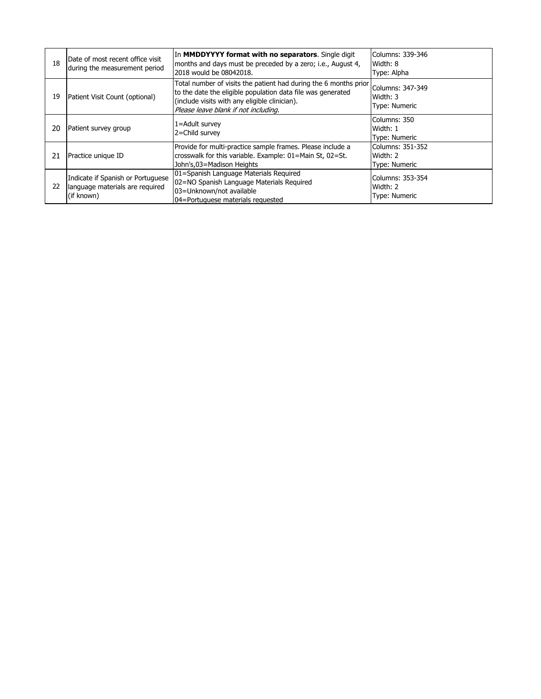| 18 | Date of most recent office visit<br>during the measurement period                  | In MMDDYYYY format with no separators. Single digit<br>months and days must be preceded by a zero; i.e., August 4,<br>2018 would be 08042018.                                                                            | lColumns: 339-346<br>Width: 8<br>Type: Alpha         |
|----|------------------------------------------------------------------------------------|--------------------------------------------------------------------------------------------------------------------------------------------------------------------------------------------------------------------------|------------------------------------------------------|
| 19 | Patient Visit Count (optional)                                                     | Total number of visits the patient had during the 6 months prior<br>to the date the eligible population data file was generated<br>(include visits with any eligible clinician).<br>Please leave blank if not including. | Columns: 347-349<br>Width: 3<br><b>Type: Numeric</b> |
| 20 | Patient survey group                                                               | 1=Adult survey<br>2=Child survey                                                                                                                                                                                         | Columns: 350<br>Width: 1<br><b>Type: Numeric</b>     |
| 21 | Practice unique ID                                                                 | Provide for multi-practice sample frames. Please include a<br>crosswalk for this variable. Example: 01=Main St, 02=St.<br>John's,03=Madison Heights                                                                      | Columns: 351-352<br>Width: 2<br><b>Type: Numeric</b> |
| 22 | Indicate if Spanish or Portuguese<br>language materials are required<br>(if known) | 01=Spanish Language Materials Required<br>02=NO Spanish Language Materials Required<br>03=Unknown/not available<br>04=Portuguese materials requested                                                                     | Columns: 353-354<br>Width: 2<br>Type: Numeric        |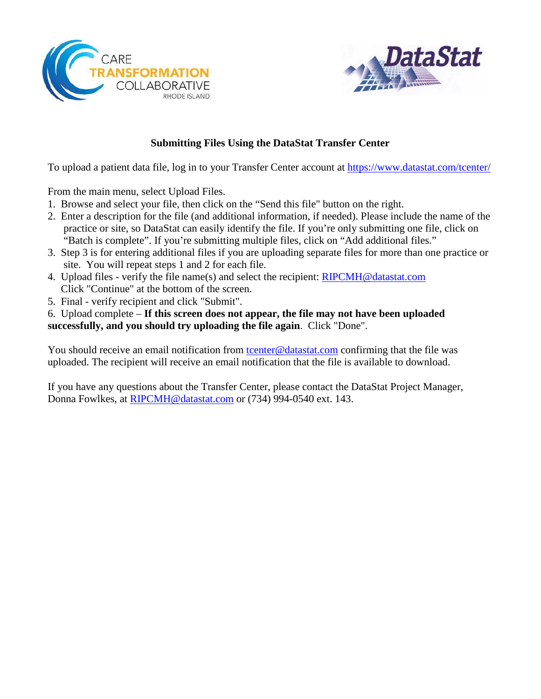



### **Submitting Files Using the DataStat Transfer Center**

To upload a patient data file, log in to your Transfer Center account at<https://www.datastat.com/tcenter/>

From the main menu, select Upload Files.

- 1. Browse and select your file, then click on the "Send this file" button on the right.
- 2. Enter a description for the file (and additional information, if needed). Please include the name of the practice or site, so DataStat can easily identify the file. If you're only submitting one file, click on "Batch is complete". If you're submitting multiple files, click on "Add additional files."
- 3. Step 3 is for entering additional files if you are uploading separate files for more than one practice or site. You will repeat steps 1 and 2 for each file.
- 4. Upload files verify the file name(s) and select the recipient: [RIPCMH@datastat.com](mailto:RIPCMH@datastat.com) Click "Continue" at the bottom of the screen.
- 5. Final verify recipient and click "Submit".

6. Upload complete – **If this screen does not appear, the file may not have been uploaded successfully, and you should try uploading the file again**. Click "Done".

You should receive an email notification from [tcenter@datastat.com](mailto:tcenter@datastat.com) confirming that the file was uploaded. The recipient will receive an email notification that the file is available to download.

If you have any questions about the Transfer Center, please contact the DataStat Project Manager, Donna Fowlkes, at [RIPCMH@datastat.com](mailto:RIPCMH@datastat.com) or (734) 994-0540 ext. 143.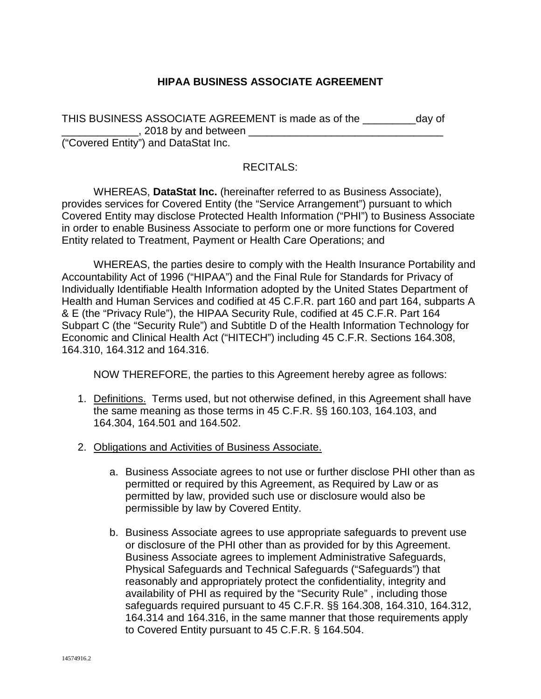### **HIPAA BUSINESS ASSOCIATE AGREEMENT**

| THIS BUSINESS ASSOCIATE AGREEMENT is made as of the | day of |
|-----------------------------------------------------|--------|
| , 2018 by and between                               |        |
| ("Covered Entity") and DataStat Inc.                |        |

#### RECITALS:

WHEREAS, **DataStat Inc.** (hereinafter referred to as Business Associate), provides services for Covered Entity (the "Service Arrangement") pursuant to which Covered Entity may disclose Protected Health Information ("PHI") to Business Associate in order to enable Business Associate to perform one or more functions for Covered Entity related to Treatment, Payment or Health Care Operations; and

WHEREAS, the parties desire to comply with the Health Insurance Portability and Accountability Act of 1996 ("HIPAA") and the Final Rule for Standards for Privacy of Individually Identifiable Health Information adopted by the United States Department of Health and Human Services and codified at 45 C.F.R. part 160 and part 164, subparts A & E (the "Privacy Rule"), the HIPAA Security Rule, codified at 45 C.F.R. Part 164 Subpart C (the "Security Rule") and Subtitle D of the Health Information Technology for Economic and Clinical Health Act ("HITECH") including 45 C.F.R. Sections 164.308, 164.310, 164.312 and 164.316.

NOW THEREFORE, the parties to this Agreement hereby agree as follows:

- 1. Definitions. Terms used, but not otherwise defined, in this Agreement shall have the same meaning as those terms in 45 C.F.R. §§ 160.103, 164.103, and 164.304, 164.501 and 164.502.
- 2. Obligations and Activities of Business Associate.
	- a. Business Associate agrees to not use or further disclose PHI other than as permitted or required by this Agreement, as Required by Law or as permitted by law, provided such use or disclosure would also be permissible by law by Covered Entity.
	- b. Business Associate agrees to use appropriate safeguards to prevent use or disclosure of the PHI other than as provided for by this Agreement. Business Associate agrees to implement Administrative Safeguards, Physical Safeguards and Technical Safeguards ("Safeguards") that reasonably and appropriately protect the confidentiality, integrity and availability of PHI as required by the "Security Rule" , including those safeguards required pursuant to 45 C.F.R. §§ 164.308, 164.310, 164.312, 164.314 and 164.316, in the same manner that those requirements apply to Covered Entity pursuant to 45 C.F.R. § 164.504.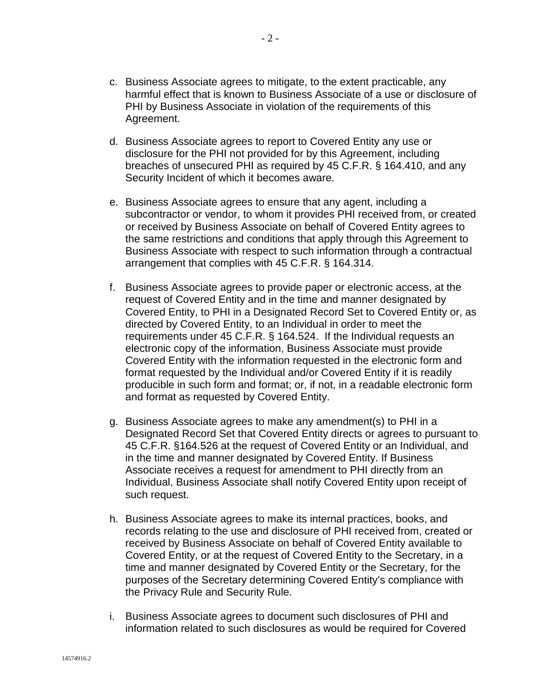- c. Business Associate agrees to mitigate, to the extent practicable, any harmful effect that is known to Business Associate of a use or disclosure of PHI by Business Associate in violation of the requirements of this Agreement.
- d. Business Associate agrees to report to Covered Entity any use or disclosure for the PHI not provided for by this Agreement, including breaches of unsecured PHI as required by 45 C.F.R. § 164.410, and any Security Incident of which it becomes aware.
- e. Business Associate agrees to ensure that any agent, including a subcontractor or vendor, to whom it provides PHI received from, or created or received by Business Associate on behalf of Covered Entity agrees to the same restrictions and conditions that apply through this Agreement to Business Associate with respect to such information through a contractual arrangement that complies with 45 C.F.R. § 164.314.
- f. Business Associate agrees to provide paper or electronic access, at the request of Covered Entity and in the time and manner designated by Covered Entity, to PHI in a Designated Record Set to Covered Entity or, as directed by Covered Entity, to an Individual in order to meet the requirements under 45 C.F.R. § 164.524. If the Individual requests an electronic copy of the information, Business Associate must provide Covered Entity with the information requested in the electronic form and format requested by the Individual and/or Covered Entity if it is readily producible in such form and format; or, if not, in a readable electronic form and format as requested by Covered Entity.
- g. Business Associate agrees to make any amendment(s) to PHI in a Designated Record Set that Covered Entity directs or agrees to pursuant to 45 C.F.R. §164.526 at the request of Covered Entity or an Individual, and in the time and manner designated by Covered Entity. If Business Associate receives a request for amendment to PHI directly from an Individual, Business Associate shall notify Covered Entity upon receipt of such request.
- h. Business Associate agrees to make its internal practices, books, and records relating to the use and disclosure of PHI received from, created or received by Business Associate on behalf of Covered Entity available to Covered Entity, or at the request of Covered Entity to the Secretary, in a time and manner designated by Covered Entity or the Secretary, for the purposes of the Secretary determining Covered Entity's compliance with the Privacy Rule and Security Rule.
- i. Business Associate agrees to document such disclosures of PHI and information related to such disclosures as would be required for Covered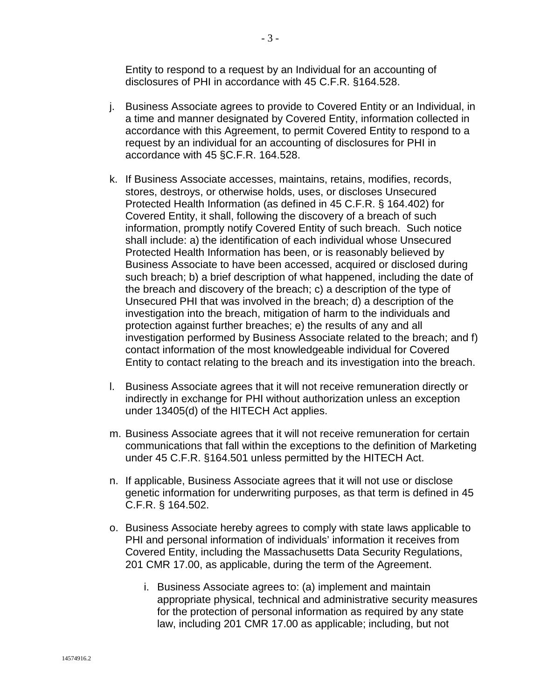Entity to respond to a request by an Individual for an accounting of disclosures of PHI in accordance with 45 C.F.R. §164.528.

- j. Business Associate agrees to provide to Covered Entity or an Individual, in a time and manner designated by Covered Entity, information collected in accordance with this Agreement, to permit Covered Entity to respond to a request by an individual for an accounting of disclosures for PHI in accordance with 45 §C.F.R. 164.528.
- k. If Business Associate accesses, maintains, retains, modifies, records, stores, destroys, or otherwise holds, uses, or discloses Unsecured Protected Health Information (as defined in 45 C.F.R. § 164.402) for Covered Entity, it shall, following the discovery of a breach of such information, promptly notify Covered Entity of such breach. Such notice shall include: a) the identification of each individual whose Unsecured Protected Health Information has been, or is reasonably believed by Business Associate to have been accessed, acquired or disclosed during such breach; b) a brief description of what happened, including the date of the breach and discovery of the breach; c) a description of the type of Unsecured PHI that was involved in the breach; d) a description of the investigation into the breach, mitigation of harm to the individuals and protection against further breaches; e) the results of any and all investigation performed by Business Associate related to the breach; and f) contact information of the most knowledgeable individual for Covered Entity to contact relating to the breach and its investigation into the breach.
- l. Business Associate agrees that it will not receive remuneration directly or indirectly in exchange for PHI without authorization unless an exception under 13405(d) of the HITECH Act applies.
- m. Business Associate agrees that it will not receive remuneration for certain communications that fall within the exceptions to the definition of Marketing under 45 C.F.R. §164.501 unless permitted by the HITECH Act.
- n. If applicable, Business Associate agrees that it will not use or disclose genetic information for underwriting purposes, as that term is defined in 45 C.F.R. § 164.502.
- o. Business Associate hereby agrees to comply with state laws applicable to PHI and personal information of individuals' information it receives from Covered Entity, including the Massachusetts Data Security Regulations, 201 CMR 17.00, as applicable, during the term of the Agreement.
	- i. Business Associate agrees to: (a) implement and maintain appropriate physical, technical and administrative security measures for the protection of personal information as required by any state law, including 201 CMR 17.00 as applicable; including, but not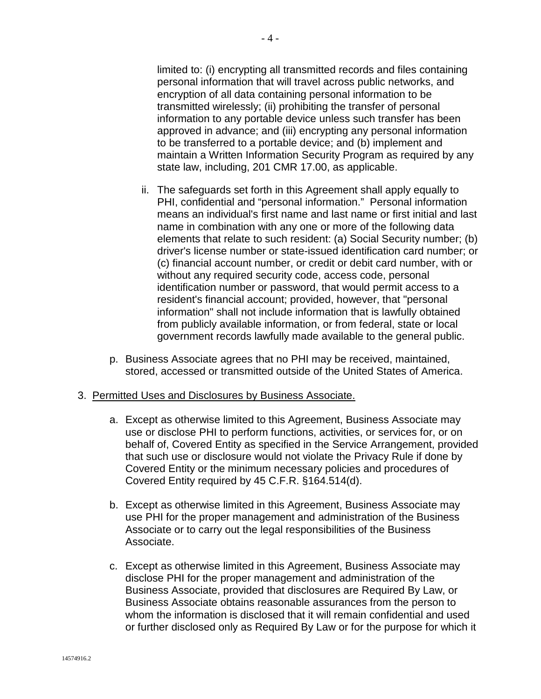limited to: (i) encrypting all transmitted records and files containing personal information that will travel across public networks, and encryption of all data containing personal information to be transmitted wirelessly; (ii) prohibiting the transfer of personal information to any portable device unless such transfer has been approved in advance; and (iii) encrypting any personal information to be transferred to a portable device; and (b) implement and maintain a Written Information Security Program as required by any state law, including, 201 CMR 17.00, as applicable.

- ii. The safeguards set forth in this Agreement shall apply equally to PHI, confidential and "personal information." Personal information means an individual's first name and last name or first initial and last name in combination with any one or more of the following data elements that relate to such resident: (a) Social Security number; (b) driver's license number or state-issued identification card number; or (c) financial account number, or credit or debit card number, with or without any required security code, access code, personal identification number or password, that would permit access to a resident's financial account; provided, however, that "personal information" shall not include information that is lawfully obtained from publicly available information, or from federal, state or local government records lawfully made available to the general public.
- p. Business Associate agrees that no PHI may be received, maintained, stored, accessed or transmitted outside of the United States of America.

#### 3. Permitted Uses and Disclosures by Business Associate.

- a. Except as otherwise limited to this Agreement, Business Associate may use or disclose PHI to perform functions, activities, or services for, or on behalf of, Covered Entity as specified in the Service Arrangement, provided that such use or disclosure would not violate the Privacy Rule if done by Covered Entity or the minimum necessary policies and procedures of Covered Entity required by 45 C.F.R. §164.514(d).
- b. Except as otherwise limited in this Agreement, Business Associate may use PHI for the proper management and administration of the Business Associate or to carry out the legal responsibilities of the Business Associate.
- c. Except as otherwise limited in this Agreement, Business Associate may disclose PHI for the proper management and administration of the Business Associate, provided that disclosures are Required By Law, or Business Associate obtains reasonable assurances from the person to whom the information is disclosed that it will remain confidential and used or further disclosed only as Required By Law or for the purpose for which it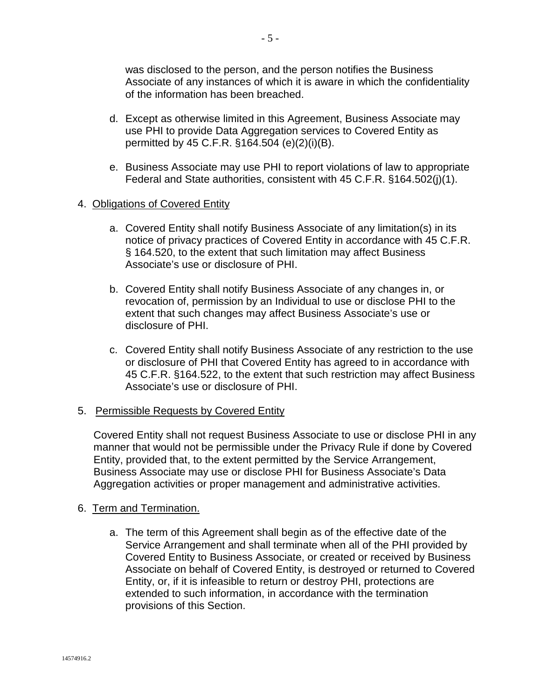was disclosed to the person, and the person notifies the Business Associate of any instances of which it is aware in which the confidentiality of the information has been breached.

- d. Except as otherwise limited in this Agreement, Business Associate may use PHI to provide Data Aggregation services to Covered Entity as permitted by 45 C.F.R. §164.504 (e)(2)(i)(B).
- e. Business Associate may use PHI to report violations of law to appropriate Federal and State authorities, consistent with 45 C.F.R. §164.502(j)(1).

#### 4. Obligations of Covered Entity

- a. Covered Entity shall notify Business Associate of any limitation(s) in its notice of privacy practices of Covered Entity in accordance with 45 C.F.R. § 164.520, to the extent that such limitation may affect Business Associate's use or disclosure of PHI.
- b. Covered Entity shall notify Business Associate of any changes in, or revocation of, permission by an Individual to use or disclose PHI to the extent that such changes may affect Business Associate's use or disclosure of PHI.
- c. Covered Entity shall notify Business Associate of any restriction to the use or disclosure of PHI that Covered Entity has agreed to in accordance with 45 C.F.R. §164.522, to the extent that such restriction may affect Business Associate's use or disclosure of PHI.

#### 5. Permissible Requests by Covered Entity

Covered Entity shall not request Business Associate to use or disclose PHI in any manner that would not be permissible under the Privacy Rule if done by Covered Entity, provided that, to the extent permitted by the Service Arrangement, Business Associate may use or disclose PHI for Business Associate's Data Aggregation activities or proper management and administrative activities.

#### 6. Term and Termination.

a. The term of this Agreement shall begin as of the effective date of the Service Arrangement and shall terminate when all of the PHI provided by Covered Entity to Business Associate, or created or received by Business Associate on behalf of Covered Entity, is destroyed or returned to Covered Entity, or, if it is infeasible to return or destroy PHI, protections are extended to such information, in accordance with the termination provisions of this Section.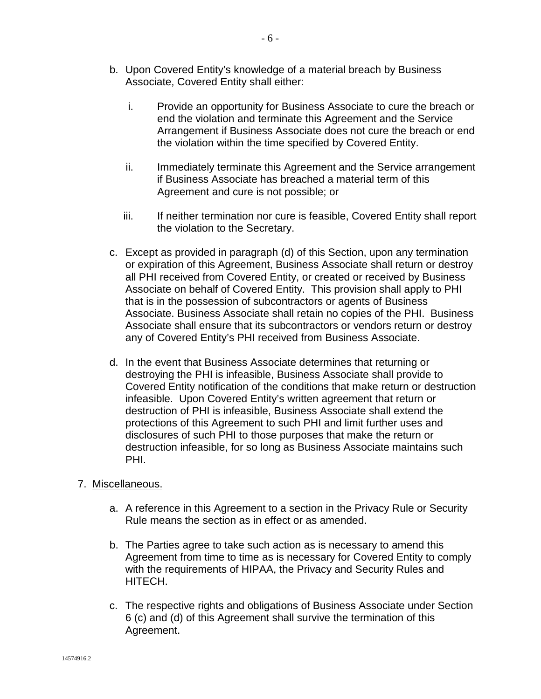- b. Upon Covered Entity's knowledge of a material breach by Business Associate, Covered Entity shall either:
	- i. Provide an opportunity for Business Associate to cure the breach or end the violation and terminate this Agreement and the Service Arrangement if Business Associate does not cure the breach or end the violation within the time specified by Covered Entity.
	- ii. Immediately terminate this Agreement and the Service arrangement if Business Associate has breached a material term of this Agreement and cure is not possible; or
	- iii. If neither termination nor cure is feasible, Covered Entity shall report the violation to the Secretary.
- c. Except as provided in paragraph (d) of this Section, upon any termination or expiration of this Agreement, Business Associate shall return or destroy all PHI received from Covered Entity, or created or received by Business Associate on behalf of Covered Entity. This provision shall apply to PHI that is in the possession of subcontractors or agents of Business Associate. Business Associate shall retain no copies of the PHI. Business Associate shall ensure that its subcontractors or vendors return or destroy any of Covered Entity's PHI received from Business Associate.
- d. In the event that Business Associate determines that returning or destroying the PHI is infeasible, Business Associate shall provide to Covered Entity notification of the conditions that make return or destruction infeasible. Upon Covered Entity's written agreement that return or destruction of PHI is infeasible, Business Associate shall extend the protections of this Agreement to such PHI and limit further uses and disclosures of such PHI to those purposes that make the return or destruction infeasible, for so long as Business Associate maintains such PHI.

#### 7. Miscellaneous.

- a. A reference in this Agreement to a section in the Privacy Rule or Security Rule means the section as in effect or as amended.
- b. The Parties agree to take such action as is necessary to amend this Agreement from time to time as is necessary for Covered Entity to comply with the requirements of HIPAA, the Privacy and Security Rules and HITECH.
- c. The respective rights and obligations of Business Associate under Section 6 (c) and (d) of this Agreement shall survive the termination of this Agreement.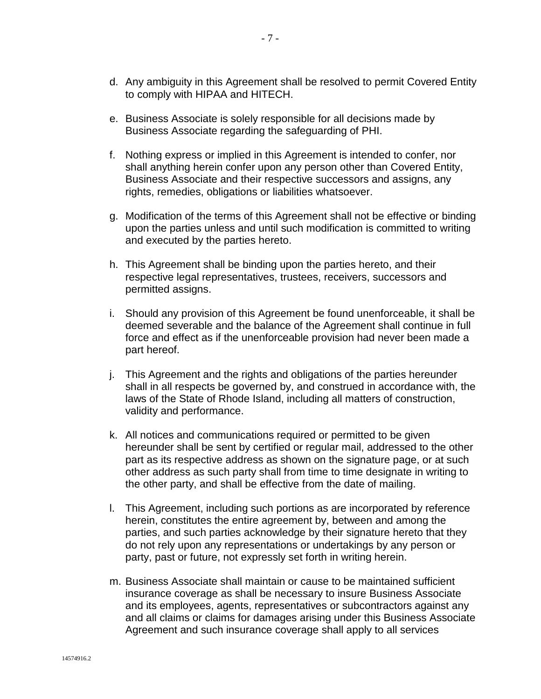- d. Any ambiguity in this Agreement shall be resolved to permit Covered Entity to comply with HIPAA and HITECH.
- e. Business Associate is solely responsible for all decisions made by Business Associate regarding the safeguarding of PHI.
- f. Nothing express or implied in this Agreement is intended to confer, nor shall anything herein confer upon any person other than Covered Entity, Business Associate and their respective successors and assigns, any rights, remedies, obligations or liabilities whatsoever.
- g. Modification of the terms of this Agreement shall not be effective or binding upon the parties unless and until such modification is committed to writing and executed by the parties hereto.
- h. This Agreement shall be binding upon the parties hereto, and their respective legal representatives, trustees, receivers, successors and permitted assigns.
- i. Should any provision of this Agreement be found unenforceable, it shall be deemed severable and the balance of the Agreement shall continue in full force and effect as if the unenforceable provision had never been made a part hereof.
- j. This Agreement and the rights and obligations of the parties hereunder shall in all respects be governed by, and construed in accordance with, the laws of the State of Rhode Island, including all matters of construction, validity and performance.
- k. All notices and communications required or permitted to be given hereunder shall be sent by certified or regular mail, addressed to the other part as its respective address as shown on the signature page, or at such other address as such party shall from time to time designate in writing to the other party, and shall be effective from the date of mailing.
- l. This Agreement, including such portions as are incorporated by reference herein, constitutes the entire agreement by, between and among the parties, and such parties acknowledge by their signature hereto that they do not rely upon any representations or undertakings by any person or party, past or future, not expressly set forth in writing herein.
- m. Business Associate shall maintain or cause to be maintained sufficient insurance coverage as shall be necessary to insure Business Associate and its employees, agents, representatives or subcontractors against any and all claims or claims for damages arising under this Business Associate Agreement and such insurance coverage shall apply to all services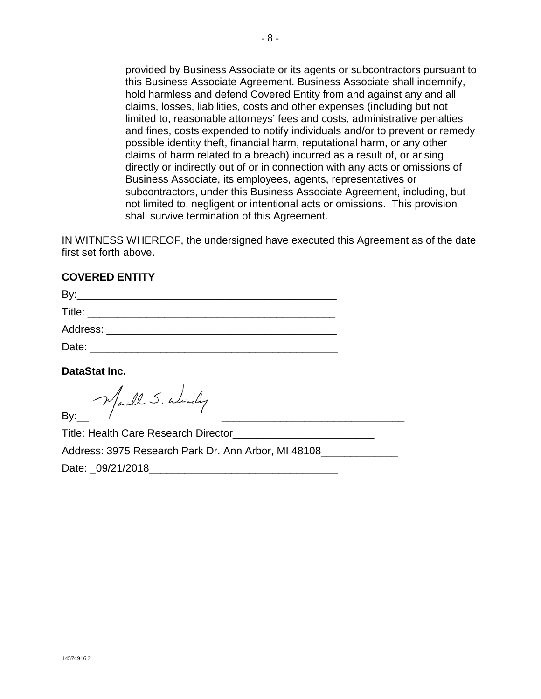provided by Business Associate or its agents or subcontractors pursuant to this Business Associate Agreement. Business Associate shall indemnify, hold harmless and defend Covered Entity from and against any and all claims, losses, liabilities, costs and other expenses (including but not limited to, reasonable attorneys' fees and costs, administrative penalties and fines, costs expended to notify individuals and/or to prevent or remedy possible identity theft, financial harm, reputational harm, or any other claims of harm related to a breach) incurred as a result of, or arising directly or indirectly out of or in connection with any acts or omissions of Business Associate, its employees, agents, representatives or subcontractors, under this Business Associate Agreement, including, but not limited to, negligent or intentional acts or omissions. This provision shall survive termination of this Agreement.

IN WITNESS WHEREOF, the undersigned have executed this Agreement as of the date first set forth above.

#### **COVERED ENTITY**

| Bv:      |  |  |
|----------|--|--|
| Title:   |  |  |
| Address: |  |  |
| Date:    |  |  |

**DataStat Inc.** 

Marill S. Windy By:\_\_ \_\_\_\_\_\_\_\_\_\_\_\_\_\_\_\_\_\_\_\_\_\_\_\_\_\_\_\_\_\_\_

Title: Health Care Research Director\_\_\_\_\_\_\_\_\_\_\_\_\_\_\_\_\_\_\_\_\_\_\_\_

Address: 3975 Research Park Dr. Ann Arbor, MI 48108\_\_\_\_\_\_\_\_\_\_\_\_\_

Date: 09/21/2018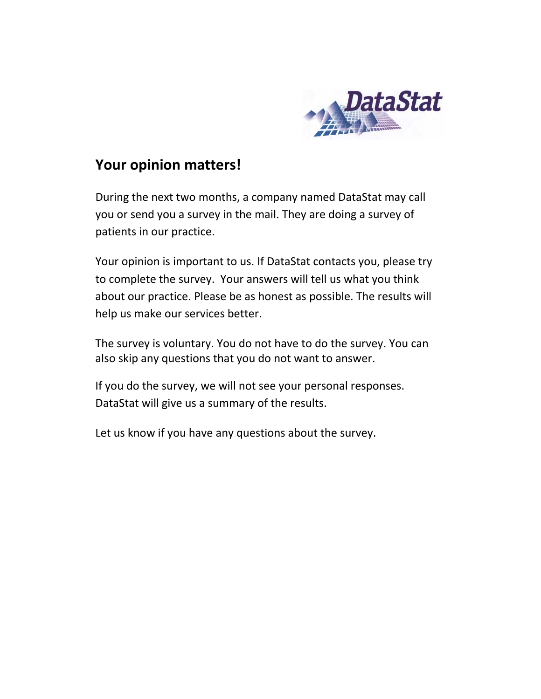

# **Your opinion matters!**

During the next two months, a company named DataStat may call you or send you a survey in the mail. They are doing a survey of patients in our practice.

Your opinion is important to us. If DataStat contacts you, please try to complete the survey. Your answers will tell us what you think about our practice. Please be as honest as possible. The results will help us make our services better.

The survey is voluntary. You do not have to do the survey. You can also skip any questions that you do not want to answer.

If you do the survey, we will not see your personal responses. DataStat will give us a summary of the results.

Let us know if you have any questions about the survey.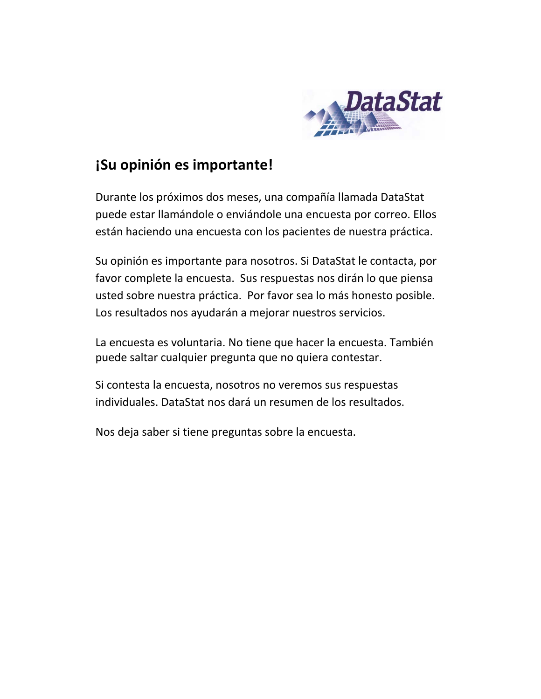

# **¡Su opinión es importante!**

Durante los próximos dos meses, una compañía llamada DataStat puede estar llamándole o enviándole una encuesta por correo. Ellos están haciendo una encuesta con los pacientes de nuestra práctica.

Su opinión es importante para nosotros. Si DataStat le contacta, por favor complete la encuesta. Sus respuestas nos dirán lo que piensa usted sobre nuestra práctica. Por favor sea lo más honesto posible. Los resultados nos ayudarán a mejorar nuestros servicios.

La encuesta es voluntaria. No tiene que hacer la encuesta. También puede saltar cualquier pregunta que no quiera contestar.

Si contesta la encuesta, nosotros no veremos sus respuestas individuales. DataStat nos dará un resumen de los resultados.

Nos deja saber si tiene preguntas sobre la encuesta.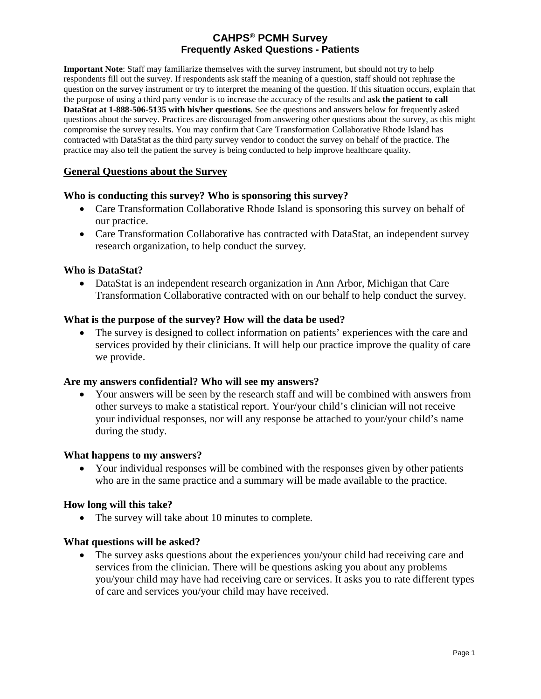**Important Note**: Staff may familiarize themselves with the survey instrument, but should not try to help respondents fill out the survey. If respondents ask staff the meaning of a question, staff should not rephrase the question on the survey instrument or try to interpret the meaning of the question. If this situation occurs, explain that the purpose of using a third party vendor is to increase the accuracy of the results and **ask the patient to call DataStat at 1-888-506-5135 with his/her questions**. See the questions and answers below for frequently asked questions about the survey. Practices are discouraged from answering other questions about the survey, as this might compromise the survey results. You may confirm that Care Transformation Collaborative Rhode Island has contracted with DataStat as the third party survey vendor to conduct the survey on behalf of the practice. The practice may also tell the patient the survey is being conducted to help improve healthcare quality.

#### **General Questions about the Survey**

#### **Who is conducting this survey? Who is sponsoring this survey?**

- Care Transformation Collaborative Rhode Island is sponsoring this survey on behalf of our practice.
- Care Transformation Collaborative has contracted with DataStat, an independent survey research organization, to help conduct the survey.

#### **Who is DataStat?**

• DataStat is an independent research organization in Ann Arbor, Michigan that Care Transformation Collaborative contracted with on our behalf to help conduct the survey.

#### **What is the purpose of the survey? How will the data be used?**

• The survey is designed to collect information on patients' experiences with the care and services provided by their clinicians. It will help our practice improve the quality of care we provide.

#### **Are my answers confidential? Who will see my answers?**

• Your answers will be seen by the research staff and will be combined with answers from other surveys to make a statistical report. Your/your child's clinician will not receive your individual responses, nor will any response be attached to your/your child's name during the study.

#### **What happens to my answers?**

• Your individual responses will be combined with the responses given by other patients who are in the same practice and a summary will be made available to the practice.

#### **How long will this take?**

• The survey will take about 10 minutes to complete*.* 

#### **What questions will be asked?**

• The survey asks questions about the experiences you/your child had receiving care and services from the clinician. There will be questions asking you about any problems you/your child may have had receiving care or services. It asks you to rate different types of care and services you/your child may have received.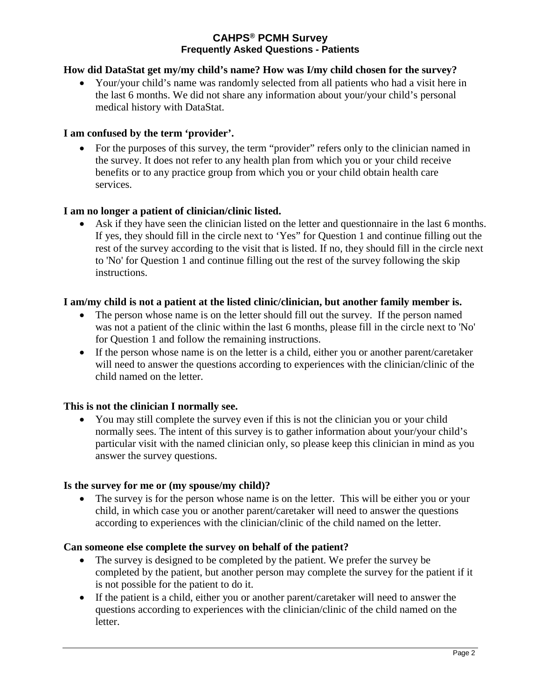#### **How did DataStat get my/my child's name? How was I/my child chosen for the survey?**

• Your/your child's name was randomly selected from all patients who had a visit here in the last 6 months. We did not share any information about your/your child's personal medical history with DataStat.

#### **I am confused by the term 'provider'.**

• For the purposes of this survey, the term "provider" refers only to the clinician named in the survey. It does not refer to any health plan from which you or your child receive benefits or to any practice group from which you or your child obtain health care services.

#### **I am no longer a patient of clinician/clinic listed.**

• Ask if they have seen the clinician listed on the letter and questionnaire in the last 6 months. If yes, they should fill in the circle next to 'Yes" for Question 1 and continue filling out the rest of the survey according to the visit that is listed. If no, they should fill in the circle next to 'No' for Question 1 and continue filling out the rest of the survey following the skip instructions.

#### **I am/my child is not a patient at the listed clinic/clinician, but another family member is.**

- The person whose name is on the letter should fill out the survey. If the person named was not a patient of the clinic within the last 6 months, please fill in the circle next to 'No' for Question 1 and follow the remaining instructions.
- If the person whose name is on the letter is a child, either you or another parent/caretaker will need to answer the questions according to experiences with the clinician/clinic of the child named on the letter.

#### **This is not the clinician I normally see.**

• You may still complete the survey even if this is not the clinician you or your child normally sees. The intent of this survey is to gather information about your/your child's particular visit with the named clinician only, so please keep this clinician in mind as you answer the survey questions.

#### **Is the survey for me or (my spouse/my child)?**

• The survey is for the person whose name is on the letter. This will be either you or your child, in which case you or another parent/caretaker will need to answer the questions according to experiences with the clinician/clinic of the child named on the letter.

#### **Can someone else complete the survey on behalf of the patient?**

- The survey is designed to be completed by the patient. We prefer the survey be completed by the patient, but another person may complete the survey for the patient if it is not possible for the patient to do it.
- If the patient is a child, either you or another parent/caretaker will need to answer the questions according to experiences with the clinician/clinic of the child named on the letter.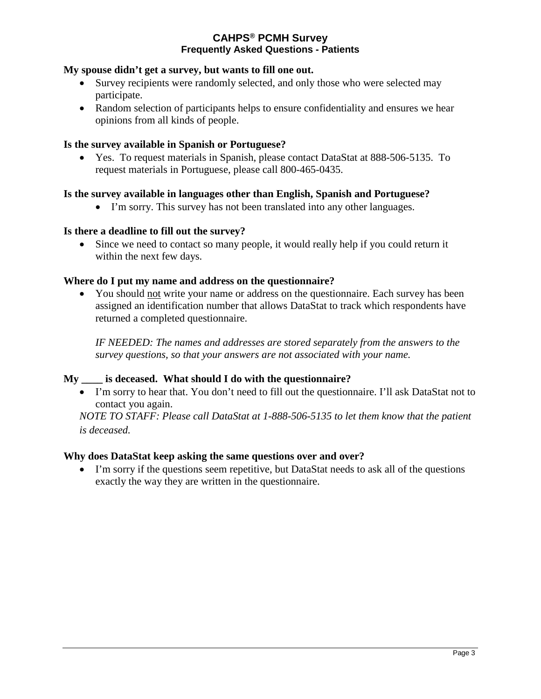#### **My spouse didn't get a survey, but wants to fill one out.**

- Survey recipients were randomly selected, and only those who were selected may participate.
- Random selection of participants helps to ensure confidentiality and ensures we hear opinions from all kinds of people.

#### **Is the survey available in Spanish or Portuguese?**

• Yes. To request materials in Spanish, please contact DataStat at 888-506-5135. To request materials in Portuguese, please call 800-465-0435.

#### **Is the survey available in languages other than English, Spanish and Portuguese?**

• I'm sorry. This survey has not been translated into any other languages.

#### **Is there a deadline to fill out the survey?**

• Since we need to contact so many people, it would really help if you could return it within the next few days.

#### **Where do I put my name and address on the questionnaire?**

• You should not write your name or address on the questionnaire. Each survey has been assigned an identification number that allows DataStat to track which respondents have returned a completed questionnaire.

*IF NEEDED: The names and addresses are stored separately from the answers to the survey questions, so that your answers are not associated with your name.*

#### **My \_\_\_\_ is deceased. What should I do with the questionnaire?**

• I'm sorry to hear that. You don't need to fill out the questionnaire. I'll ask DataStat not to contact you again.

*NOTE TO STAFF: Please call DataStat at 1-888-506-5135 to let them know that the patient is deceased.* 

#### **Why does DataStat keep asking the same questions over and over?**

• I'm sorry if the questions seem repetitive, but DataStat needs to ask all of the questions exactly the way they are written in the questionnaire.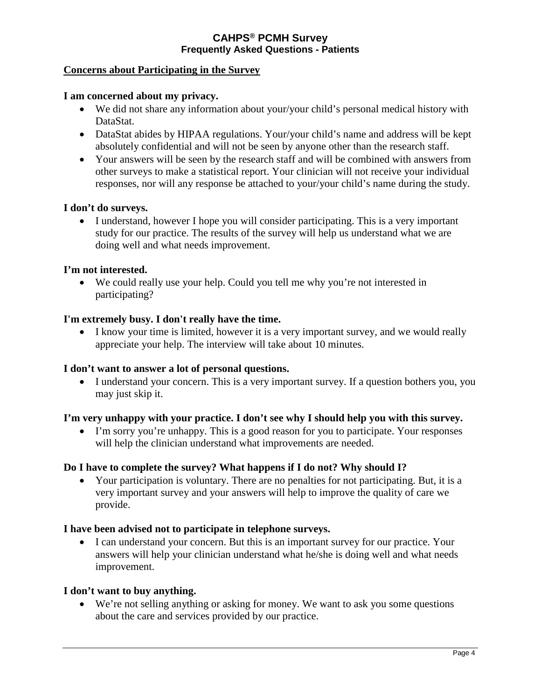#### **Concerns about Participating in the Survey**

#### **I am concerned about my privacy.**

- We did not share any information about your/your child's personal medical history with DataStat.
- DataStat abides by HIPAA regulations. Your/your child's name and address will be kept absolutely confidential and will not be seen by anyone other than the research staff.
- Your answers will be seen by the research staff and will be combined with answers from other surveys to make a statistical report. Your clinician will not receive your individual responses, nor will any response be attached to your/your child's name during the study.

#### **I don't do surveys.**

• I understand, however I hope you will consider participating. This is a very important study for our practice. The results of the survey will help us understand what we are doing well and what needs improvement.

#### **I'm not interested.**

• We could really use your help. Could you tell me why you're not interested in participating?

#### **I'm extremely busy. I don't really have the time.**

• I know your time is limited, however it is a very important survey, and we would really appreciate your help. The interview will take about 10 minutes.

#### **I don't want to answer a lot of personal questions.**

• I understand your concern. This is a very important survey. If a question bothers you, you may just skip it.

#### **I'm very unhappy with your practice. I don't see why I should help you with this survey.**

• I'm sorry you're unhappy. This is a good reason for you to participate. Your responses will help the clinician understand what improvements are needed.

#### **Do I have to complete the survey? What happens if I do not? Why should I?**

• Your participation is voluntary. There are no penalties for not participating. But, it is a very important survey and your answers will help to improve the quality of care we provide.

#### **I have been advised not to participate in telephone surveys.**

• I can understand your concern. But this is an important survey for our practice. Your answers will help your clinician understand what he/she is doing well and what needs improvement.

#### **I don't want to buy anything.**

• We're not selling anything or asking for money. We want to ask you some questions about the care and services provided by our practice.